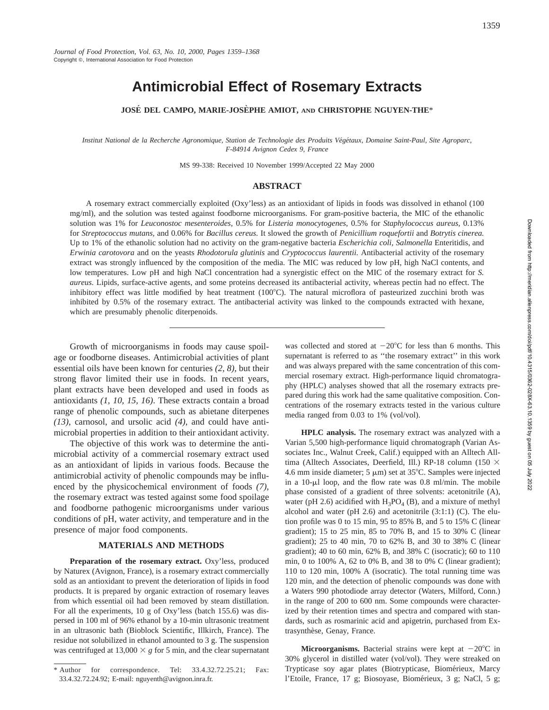1359

# **Antimicrobial Effect of Rosemary Extracts**

**JOSE´ DEL CAMPO, MARIE-JOSE` PHE AMIOT, AND CHRISTOPHE NGUYEN-THE**\*

Institut National de la Recherche Agronomique, Station de Technologie des Produits Végétaux, Domaine Saint-Paul, Site Agroparc, *F-84914 Avignon Cedex 9, France*

MS 99-338: Received 10 November 1999/Accepted 22 May 2000

## **ABSTRACT**

A rosemary extract commercially exploited (Oxy'less) as an antioxidant of lipids in foods was dissolved in ethanol (100 mg/ml), and the solution was tested against foodborne microorganisms. For gram-positive bacteria, the MIC of the ethanolic solution was 1% for *Leuconostoc mesenteroides,* 0.5% for *Listeria monocytogenes,* 0.5% for *Staphylococcus aureus,* 0.13% for *Streptococcus mutans,* and 0.06% for *Bacillus cereus.* It slowed the growth of *Penicillium roquefortii* and *Botrytis cinerea.* Up to 1% of the ethanolic solution had no activity on the gram-negative bacteria *Escherichia coli, Salmonella* Enteritidis, and *Erwinia carotovora* and on the yeasts *Rhodotorula glutinis* and *Cryptococcus laurentii.* Antibacterial activity of the rosemary extract was strongly influenced by the composition of the media. The MIC was reduced by low pH, high NaCl contents, and low temperatures. Low pH and high NaCl concentration had a synergistic effect on the MIC of the rosemary extract for *S. aureus.* Lipids, surface-active agents, and some proteins decreased its antibacterial activity, whereas pectin had no effect. The inhibitory effect was little modified by heat treatment  $(100^{\circ}C)$ . The natural microflora of pasteurized zucchini broth was inhibited by 0.5% of the rosemary extract. The antibacterial activity was linked to the compounds extracted with hexane, which are presumably phenolic diterpenoids.

Growth of microorganisms in foods may cause spoilage or foodborne diseases. Antimicrobial activities of plant essential oils have been known for centuries *(2, 8)*, but their strong flavor limited their use in foods. In recent years, plant extracts have been developed and used in foods as antioxidants *(1, 10, 15, 16)*. These extracts contain a broad range of phenolic compounds, such as abietane diterpenes *(13)*, carnosol, and ursolic acid *(4)*, and could have antimicrobial properties in addition to their antioxidant activity.

The objective of this work was to determine the antimicrobial activity of a commercial rosemary extract used as an antioxidant of lipids in various foods. Because the antimicrobial activity of phenolic compounds may be influenced by the physicochemical environment of foods *(7)*, the rosemary extract was tested against some food spoilage and foodborne pathogenic microorganisms under various conditions of pH, water activity, and temperature and in the presence of major food components.

## **MATERIALS AND METHODS**

**Preparation of the rosemary extract.** Oxy'less, produced by Naturex (Avignon, France), is a rosemary extract commercially sold as an antioxidant to prevent the deterioration of lipids in food products. It is prepared by organic extraction of rosemary leaves from which essential oil had been removed by steam distillation. For all the experiments, 10 g of Oxy'less (batch 155.6) was dispersed in 100 ml of 96% ethanol by a 10-min ultrasonic treatment in an ultrasonic bath (Bioblock Scientific, Illkirch, France). The residue not solubilized in ethanol amounted to 3 g. The suspension was centrifuged at  $13,000 \times g$  for 5 min, and the clear supernatant

was collected and stored at  $-20^{\circ}$ C for less than 6 months. This supernatant is referred to as ''the rosemary extract'' in this work and was always prepared with the same concentration of this commercial rosemary extract. High-performance liquid chromatography (HPLC) analyses showed that all the rosemary extracts prepared during this work had the same qualitative composition. Concentrations of the rosemary extracts tested in the various culture media ranged from 0.03 to 1% (vol/vol).

**HPLC analysis.** The rosemary extract was analyzed with a Varian 5,500 high-performance liquid chromatograph (Varian Associates Inc., Walnut Creek, Calif.) equipped with an Alltech Alltima (Alltech Associates, Deerfield, Ill.) RP-18 column (150  $\times$ 4.6 mm inside diameter; 5  $\mu$ m) set at 35°C. Samples were injected in a  $10$ - $\mu$ l loop, and the flow rate was 0.8 ml/min. The mobile phase consisted of a gradient of three solvents: acetonitrile (A), water (pH 2.6) acidified with  $H_3PO_4$  (B), and a mixture of methyl alcohol and water (pH 2.6) and acetonitrile (3:1:1) (C). The elution profile was 0 to 15 min, 95 to 85% B, and 5 to 15% C (linear gradient); 15 to 25 min, 85 to 70% B, and 15 to 30% C (linear gradient); 25 to 40 min, 70 to 62% B, and 30 to 38% C (linear gradient); 40 to 60 min, 62% B, and 38% C (isocratic); 60 to 110 min, 0 to 100% A, 62 to 0% B, and 38 to 0% C (linear gradient); 110 to 120 min, 100% A (isocratic). The total running time was 120 min, and the detection of phenolic compounds was done with a Waters 990 photodiode array detector (Waters, Milford, Conn.) in the range of 200 to 600 nm. Some compounds were characterized by their retention times and spectra and compared with standards, such as rosmarinic acid and apigetrin, purchased from Extrasynthèse, Genay, France.

**Microorganisms.** Bacterial strains were kept at  $-20^{\circ}$ C in 30% glycerol in distilled water (vol/vol). They were streaked on Trypticase soy agar plates (Biotrypticase, Biomérieux, Marcy l'Etoile, France, 17 g; Biosoyase, Biomérieux, 3 g; NaCl, 5 g;

<sup>\*</sup> Author for correspondence. Tel: 33.4.32.72.25.21; Fax: 33.4.32.72.24.92; E-mail: nguyenth@avignon.inra.fr.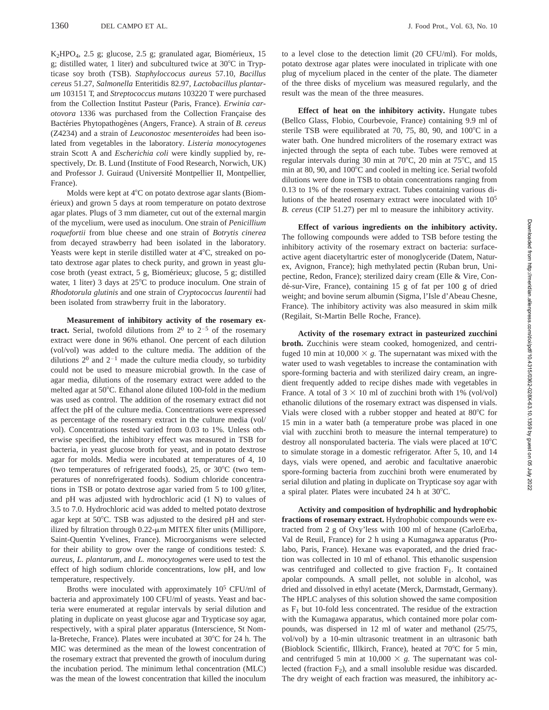$K<sub>2</sub>HPO<sub>4</sub>$ , 2.5 g; glucose, 2.5 g; granulated agar, Biomérieux, 15 g; distilled water, 1 liter) and subcultured twice at  $30^{\circ}$ C in Trypticase soy broth (TSB). *Staphyloccocus aureus* 57.10, *Bacillus cereus* 51.27, *Salmonella* Enteritidis 82.97, *Lactobacillus plantarum* 103151 T, and *Streptococcus mutans* 103220 T were purchased from the Collection Institut Pasteur (Paris, France). *Erwinia carotovora* 1336 was purchased from the Collection Française des Bactéries Phytopathogènes (Angers, France). A strain of *B. cereus* (Z4234) and a strain of *Leuconostoc mesenteroides* had been isolated from vegetables in the laboratory. *Listeria monocytogenes* strain Scott A and *Escherichia coli* were kindly supplied by, respectively, Dr. B. Lund (Institute of Food Research, Norwich, UK) and Professor J. Guiraud (Université Montpellier II, Montpellier, France).

Molds were kept at  $4^{\circ}$ C on potato dextrose agar slants (Biomérieux) and grown 5 days at room temperature on potato dextrose agar plates. Plugs of 3 mm diameter, cut out of the external margin of the mycelium, were used as inoculum. One strain of *Penicillium roquefortii* from blue cheese and one strain of *Botrytis cinerea* from decayed strawberry had been isolated in the laboratory. Yeasts were kept in sterile distilled water at  $4^{\circ}$ C, streaked on potato dextrose agar plates to check purity, and grown in yeast glucose broth (yeast extract, 5 g, Biomérieux; glucose, 5 g; distilled water, 1 liter) 3 days at  $25^{\circ}$ C to produce inoculum. One strain of *Rhodotorula glutinis* and one strain of *Cryptococcus laurentii* had been isolated from strawberry fruit in the laboratory.

**Measurement of inhibitory activity of the rosemary extract.** Serial, twofold dilutions from  $2^0$  to  $2^{-5}$  of the rosemary extract were done in 96% ethanol. One percent of each dilution (vol/vol) was added to the culture media. The addition of the dilutions  $2^0$  and  $2^{-1}$  made the culture media cloudy, so turbidity could not be used to measure microbial growth. In the case of agar media, dilutions of the rosemary extract were added to the melted agar at 50°C. Ethanol alone diluted 100-fold in the medium was used as control. The addition of the rosemary extract did not affect the pH of the culture media. Concentrations were expressed as percentage of the rosemary extract in the culture media (vol/ vol). Concentrations tested varied from 0.03 to 1%. Unless otherwise specified, the inhibitory effect was measured in TSB for bacteria, in yeast glucose broth for yeast, and in potato dextrose agar for molds. Media were incubated at temperatures of 4, 10 (two temperatures of refrigerated foods), 25, or  $30^{\circ}$ C (two temperatures of nonrefrigerated foods). Sodium chloride concentrations in TSB or potato dextrose agar varied from 5 to 100 g/liter, and pH was adjusted with hydrochloric acid (1 N) to values of 3.5 to 7.0. Hydrochloric acid was added to melted potato dextrose agar kept at 50°C. TSB was adjusted to the desired pH and sterilized by filtration through  $0.22$ - $\mu$ m MITEX filter units (Millipore, Saint-Quentin Yvelines, France). Microorganisms were selected for their ability to grow over the range of conditions tested: *S. aureus, L. plantarum,* and *L. monocytogenes* were used to test the effect of high sodium chloride concentrations, low pH, and low temperature, respectively.

Broths were inoculated with approximately 105 CFU/ml of bacteria and approximately 100 CFU/ml of yeasts. Yeast and bacteria were enumerated at regular intervals by serial dilution and plating in duplicate on yeast glucose agar and Trypticase soy agar, respectively, with a spiral plater apparatus (Interscience, St Nomla-Breteche, France). Plates were incubated at 30°C for 24 h. The MIC was determined as the mean of the lowest concentration of the rosemary extract that prevented the growth of inoculum during the incubation period. The minimum lethal concentration (MLC) was the mean of the lowest concentration that killed the inoculum to a level close to the detection limit (20 CFU/ml). For molds, potato dextrose agar plates were inoculated in triplicate with one plug of mycelium placed in the center of the plate. The diameter of the three disks of mycelium was measured regularly, and the result was the mean of the three measures.

**Effect of heat on the inhibitory activity.** Hungate tubes (Bellco Glass, Flobio, Courbevoie, France) containing 9.9 ml of sterile TSB were equilibrated at 70, 75, 80, 90, and  $100^{\circ}$ C in a water bath. One hundred microliters of the rosemary extract was injected through the septa of each tube. Tubes were removed at regular intervals during 30 min at 70 $^{\circ}$ C, 20 min at 75 $^{\circ}$ C, and 15 min at 80, 90, and  $100^{\circ}$ C and cooled in melting ice. Serial twofold dilutions were done in TSB to obtain concentrations ranging from 0.13 to 1% of the rosemary extract. Tubes containing various dilutions of the heated rosemary extract were inoculated with 10<sup>5</sup> *B. cereus* (CIP 51.27) per ml to measure the inhibitory activity.

**Effect of various ingredients on the inhibitory activity.** The following compounds were added to TSB before testing the inhibitory activity of the rosemary extract on bacteria: surfaceactive agent diacetyltartric ester of monoglyceride (Datem, Naturex, Avignon, France); high methylated pectin (Ruban brun, Unipectine, Redon, France); sterilized dairy cream (Elle & Vire, Condé-sur-Vire, France), containing 15 g of fat per 100 g of dried weight; and bovine serum albumin (Sigma, l'Isle d'Abeau Chesne, France). The inhibitory activity was also measured in skim milk (Regilait, St-Martin Belle Roche, France).

**Activity of the rosemary extract in pasteurized zucchini broth.** Zucchinis were steam cooked, homogenized, and centrifuged 10 min at  $10,000 \times g$ . The supernatant was mixed with the water used to wash vegetables to increase the contamination with spore-forming bacteria and with sterilized dairy cream, an ingredient frequently added to recipe dishes made with vegetables in France. A total of  $3 \times 10$  ml of zucchini broth with 1% (vol/vol) ethanolic dilutions of the rosemary extract was dispensed in vials. Vials were closed with a rubber stopper and heated at 80°C for 15 min in a water bath (a temperature probe was placed in one vial with zucchini broth to measure the internal temperature) to destroy all nonsporulated bacteria. The vials were placed at  $10^{\circ}$ C to simulate storage in a domestic refrigerator. After 5, 10, and 14 days, vials were opened, and aerobic and facultative anaerobic spore-forming bacteria from zucchini broth were enumerated by serial dilution and plating in duplicate on Trypticase soy agar with a spiral plater. Plates were incubated  $24$  h at  $30^{\circ}$ C.

**Activity and composition of hydrophilic and hydrophobic fractions of rosemary extract.** Hydrophobic compounds were extracted from 2 g of Oxy'less with 100 ml of hexane (CarloErba, Val de Reuil, France) for 2 h using a Kumagawa apparatus (Prolabo, Paris, France). Hexane was evaporated, and the dried fraction was collected in 10 ml of ethanol. This ethanolic suspension was centrifuged and collected to give fraction  $F_1$ . It contained apolar compounds. A small pellet, not soluble in alcohol, was dried and dissolved in ethyl acetate (Merck, Darmstadt, Germany). The HPLC analyses of this solution showed the same composition as  $F_1$  but 10-fold less concentrated. The residue of the extraction with the Kumagawa apparatus, which contained more polar compounds, was dispersed in 12 ml of water and methanol (25/75, vol/vol) by a 10-min ultrasonic treatment in an ultrasonic bath (Bioblock Scientific, Illkirch, France), heated at  $70^{\circ}$ C for 5 min, and centrifuged 5 min at  $10,000 \times g$ . The supernatant was collected (fraction  $F_2$ ), and a small insoluble residue was discarded. The dry weight of each fraction was measured, the inhibitory ac-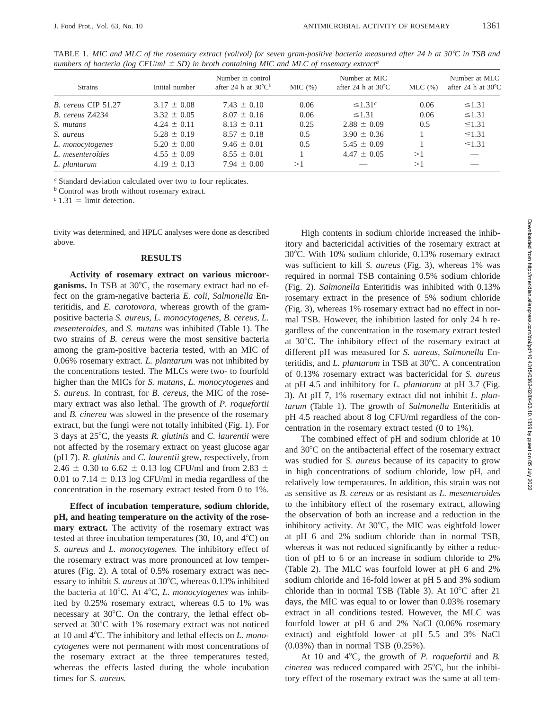| received as such as $\lambda$ and a community asset and asset all constructs of the community |                 |                                                                |        |                                               |              |                                               |  |  |
|-----------------------------------------------------------------------------------------------|-----------------|----------------------------------------------------------------|--------|-----------------------------------------------|--------------|-----------------------------------------------|--|--|
| <b>Strains</b>                                                                                | Initial number  | Number in control<br>after 24 h at $30^{\circ}$ C <sup>b</sup> | MIC(%) | Number at MIC<br>after 24 h at $30^{\circ}$ C | $MLC$ $(\%)$ | Number at MLC<br>after 24 h at $30^{\circ}$ C |  |  |
| B. cereus CIP 51.27                                                                           | $3.17 \pm 0.08$ | $7.43 \pm 0.10$                                                | 0.06   | $\leq 1.31c$                                  | 0.06         | $\leq$ 1.31                                   |  |  |
| B. cereus Z4234                                                                               | $3.32 \pm 0.05$ | $8.07 \pm 0.16$                                                | 0.06   | $\leq$ 1.31                                   | 0.06         | $\leq$ 1.31                                   |  |  |
| S. mutans                                                                                     | $4.24 \pm 0.11$ | $8.13 \pm 0.11$                                                | 0.25   | $2.88 \pm 0.09$                               | 0.5          | $\leq$ 1.31                                   |  |  |
| S. aureus                                                                                     | $5.28 \pm 0.19$ | $8.57 \pm 0.18$                                                | 0.5    | $3.90 \pm 0.36$                               |              | $\leq$ 1.31                                   |  |  |
| L. monocytogenes                                                                              | $5.20 \pm 0.00$ | $9.46 \pm 0.01$                                                | 0.5    | $5.45 \pm 0.09$                               |              | $\leq$ 1.31                                   |  |  |
| L. mesenteroïdes                                                                              | $4.55 \pm 0.09$ | $8.55 \pm 0.01$                                                |        | $4.47 \pm 0.05$                               | >1           |                                               |  |  |
| L. plantarum                                                                                  | $4.19 \pm 0.13$ | $7.94 \pm 0.00$                                                | >1     |                                               | >1           |                                               |  |  |

TABLE 1. *MIC and MLC of the rosemary extract (vol/vol) for seven gram-positive bacteria measured after 24 h at 30°C in TSB and numbers of bacteria (log CFU/* $ml \pm SD$ *) in broth containing MIC and MLC of rosemary extract<sup>a</sup>* 

*<sup>a</sup>* Standard deviation calculated over two to four replicates.

*<sup>b</sup>* Control was broth without rosemary extract.

 $c$  1.31 = limit detection.

tivity was determined, and HPLC analyses were done as described above.

#### **RESULTS**

**Activity of rosemary extract on various microor**ganisms. In TSB at 30°C, the rosemary extract had no effect on the gram-negative bacteria *E. coli, Salmonella* Enteritidis, and *E. carotovora,* whereas growth of the grampositive bacteria *S. aureus, L. monocytogenes, B. cereus, L. mesenteroides,* and *S. mutans* was inhibited (Table 1). The two strains of *B. cereus* were the most sensitive bacteria among the gram-positive bacteria tested, with an MIC of 0.06% rosemary extract. *L. plantarum* was not inhibited by the concentrations tested. The MLCs were two- to fourfold higher than the MICs for *S. mutans, L. monocytogenes* and *S. aureus.* In contrast, for *B. cereus,* the MIC of the rosemary extract was also lethal. The growth of *P. roquefortii* and *B. cinerea* was slowed in the presence of the rosemary extract, but the fungi were not totally inhibited (Fig. 1). For 3 days at 258C, the yeasts *R. glutinis* and *C. laurentii* were not affected by the rosemary extract on yeast glucose agar (pH 7). *R. glutinis* and *C. laurentii* grew, respectively, from 2.46  $\pm$  0.30 to 6.62  $\pm$  0.13 log CFU/ml and from 2.83  $\pm$ 0.01 to 7.14  $\pm$  0.13 log CFU/ml in media regardless of the concentration in the rosemary extract tested from 0 to 1%.

**Effect of incubation temperature, sodium chloride, pH, and heating temperature on the activity of the rosemary extract.** The activity of the rosemary extract was tested at three incubation temperatures  $(30, 10, \text{ and } 4^{\circ}\text{C})$  on *S. aureus* and *L. monocytogenes.* The inhibitory effect of the rosemary extract was more pronounced at low temperatures (Fig. 2). A total of 0.5% rosemary extract was necessary to inhibit *S. aureus* at 30°C, whereas 0.13% inhibited the bacteria at 10°C. At 4°C, *L. monocytogenes* was inhibited by 0.25% rosemary extract, whereas 0.5 to 1% was necessary at  $30^{\circ}$ C. On the contrary, the lethal effect observed at  $30^{\circ}$ C with 1% rosemary extract was not noticed at 10 and 4°C. The inhibitory and lethal effects on *L. monocytogenes* were not permanent with most concentrations of the rosemary extract at the three temperatures tested, whereas the effects lasted during the whole incubation times for *S. aureus.*

High contents in sodium chloride increased the inhibitory and bactericidal activities of the rosemary extract at 30°C. With 10% sodium chloride, 0.13% rosemary extract was sufficient to kill *S. aureus* (Fig. 3), whereas 1% was required in normal TSB containing 0.5% sodium chloride (Fig. 2). *Salmonella* Enteritidis was inhibited with 0.13% rosemary extract in the presence of 5% sodium chloride (Fig. 3), whereas 1% rosemary extract had no effect in normal TSB. However, the inhibition lasted for only 24 h regardless of the concentration in the rosemary extract tested at  $30^{\circ}$ C. The inhibitory effect of the rosemary extract at different pH was measured for *S. aureus, Salmonella* Enteritidis, and *L. plantarum* in TSB at 30°C. A concentration of 0.13% rosemary extract was bactericidal for *S. aureus* at pH 4.5 and inhibitory for *L. plantarum* at pH 3.7 (Fig. 3). At pH 7, 1% rosemary extract did not inhibit *L. plantarum* (Table 1). The growth of *Salmonella* Enteritidis at pH 4.5 reached about 8 log CFU/ml regardless of the concentration in the rosemary extract tested (0 to 1%).

The combined effect of pH and sodium chloride at 10 and  $30^{\circ}$ C on the antibacterial effect of the rosemary extract was studied for *S. aureus* because of its capacity to grow in high concentrations of sodium chloride, low pH, and relatively low temperatures. In addition, this strain was not as sensitive as *B. cereus* or as resistant as *L. mesenteroides* to the inhibitory effect of the rosemary extract, allowing the observation of both an increase and a reduction in the inhibitory activity. At  $30^{\circ}$ C, the MIC was eightfold lower at pH 6 and 2% sodium chloride than in normal TSB, whereas it was not reduced significantly by either a reduction of pH to 6 or an increase in sodium chloride to 2% (Table 2). The MLC was fourfold lower at pH 6 and 2% sodium chloride and 16-fold lower at pH 5 and 3% sodium chloride than in normal TSB (Table 3). At  $10^{\circ}$ C after 21 days, the MIC was equal to or lower than 0.03% rosemary extract in all conditions tested. However, the MLC was fourfold lower at pH 6 and 2% NaCl (0.06% rosemary extract) and eightfold lower at pH 5.5 and 3% NaCl (0.03%) than in normal TSB (0.25%).

At 10 and 4<sup>°</sup>C, the growth of *P. roquefortii* and *B. cinerea* was reduced compared with 25°C, but the inhibitory effect of the rosemary extract was the same at all tem-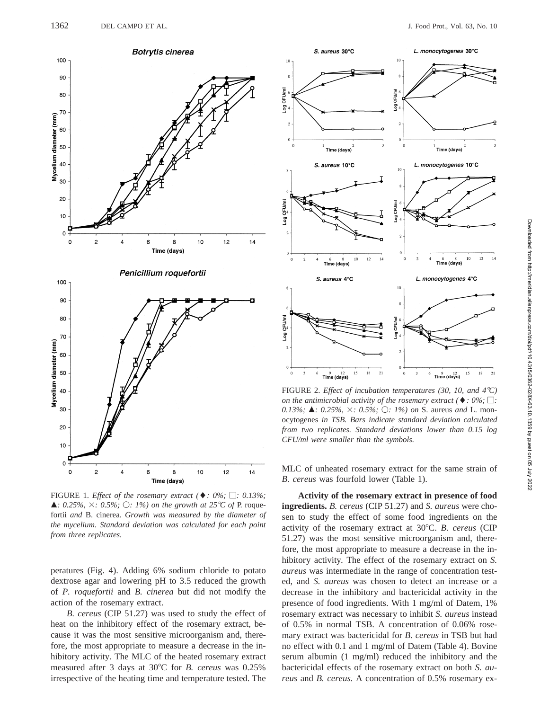

FIGURE 1. *Effect of the rosemary extract* ( $\blacklozenge$ : 0%;  $\Box$ : 0.13%;  $\blacktriangle$ *: 0.25%,*  $\times$ *: 0.5%;*  $\bigcirc$ *: 1%) on the growth at 25°C of* P. roquefortii *and* B. cinerea. *Growth was measured by the diameter of the mycelium. Standard deviation was calculated for each point from three replicates.*

peratures (Fig. 4). Adding 6% sodium chloride to potato dextrose agar and lowering pH to 3.5 reduced the growth of *P. roquefortii* and *B. cinerea* but did not modify the action of the rosemary extract.

*B. cereus* (CIP 51.27) was used to study the effect of heat on the inhibitory effect of the rosemary extract, because it was the most sensitive microorganism and, therefore, the most appropriate to measure a decrease in the inhibitory activity. The MLC of the heated rosemary extract measured after 3 days at 30°C for *B. cereus* was 0.25% irrespective of the heating time and temperature tested. The



FIGURE 2. *Effect of incubation temperatures (30, 10, and 4<sup>°</sup>C) on the antimicrobial activity of the rosemary extract* ( $\blacklozenge$ *: 0%;*  $\Box$ *: 0.13%;* **▲***: 0.25%, ×: 0.5%; ○: 1%) on S. aureus and L. mon*ocytogenes *in TSB. Bars indicate standard deviation calculated from two replicates. Standard deviations lower than 0.15 log CFU/ml were smaller than the symbols.*

MLC of unheated rosemary extract for the same strain of *B. cereus* was fourfold lower (Table 1).

**Activity of the rosemary extract in presence of food ingredients.** *B. cereus* (CIP 51.27) and *S. aureus* were chosen to study the effect of some food ingredients on the activity of the rosemary extract at 30°C. *B. cereus* (CIP 51.27) was the most sensitive microorganism and, therefore, the most appropriate to measure a decrease in the inhibitory activity. The effect of the rosemary extract on *S. aureus* was intermediate in the range of concentration tested, and *S. aureus* was chosen to detect an increase or a decrease in the inhibitory and bactericidal activity in the presence of food ingredients. With 1 mg/ml of Datem, 1% rosemary extract was necessary to inhibit *S. aureus* instead of 0.5% in normal TSB. A concentration of 0.06% rosemary extract was bactericidal for *B. cereus* in TSB but had no effect with 0.1 and 1 mg/ml of Datem (Table 4). Bovine serum albumin (1 mg/ml) reduced the inhibitory and the bactericidal effects of the rosemary extract on both *S. aureus* and *B. cereus.* A concentration of 0.5% rosemary ex-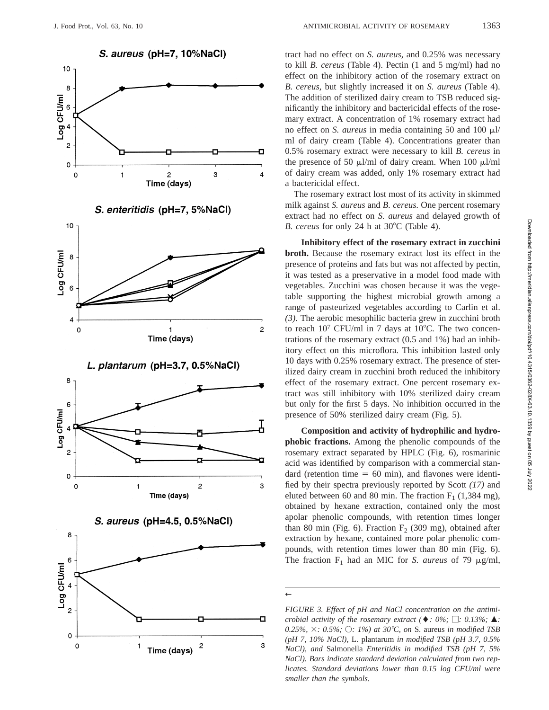













tract had no effect on *S. aureus*, and 0.25% was necessary to kill *B. cereus* (Table 4). Pectin (1 and 5 mg/ml) had no effect on the inhibitory action of the rosemary extract on *B. cereus,* but slightly increased it on *S. aureus* (Table 4). The addition of sterilized dairy cream to TSB reduced significantly the inhibitory and bactericidal effects of the rosemary extract. A concentration of 1% rosemary extract had no effect on *S. aureus* in media containing 50 and 100 ml/ ml of dairy cream (Table 4). Concentrations greater than 0.5% rosemary extract were necessary to kill *B. cereus* in the presence of 50  $\mu$ l/ml of dairy cream. When 100  $\mu$ l/ml of dairy cream was added, only 1% rosemary extract had a bactericidal effect.

The rosemary extract lost most of its activity in skimmed milk against *S. aureus* and *B. cereus.* One percent rosemary extract had no effect on *S. aureus* and delayed growth of *B. cereus* for only 24 h at 30°C (Table 4).

**Inhibitory effect of the rosemary extract in zucchini broth.** Because the rosemary extract lost its effect in the presence of proteins and fats but was not affected by pectin, it was tested as a preservative in a model food made with vegetables. Zucchini was chosen because it was the vegetable supporting the highest microbial growth among a range of pasteurized vegetables according to Carlin et al. *(3)*. The aerobic mesophilic bacteria grew in zucchini broth to reach  $10^7$  CFU/ml in 7 days at  $10^{\circ}$ C. The two concentrations of the rosemary extract (0.5 and 1%) had an inhibitory effect on this microflora. This inhibition lasted only 10 days with 0.25% rosemary extract. The presence of sterilized dairy cream in zucchini broth reduced the inhibitory effect of the rosemary extract. One percent rosemary extract was still inhibitory with 10% sterilized dairy cream but only for the first 5 days. No inhibition occurred in the presence of 50% sterilized dairy cream (Fig. 5).

**Composition and activity of hydrophilic and hydrophobic fractions.** Among the phenolic compounds of the rosemary extract separated by HPLC (Fig. 6), rosmarinic acid was identified by comparison with a commercial standard (retention time  $= 60$  min), and flavones were identified by their spectra previously reported by Scott *(17)* and eluted between 60 and 80 min. The fraction  $F_1$  (1,384 mg), obtained by hexane extraction, contained only the most apolar phenolic compounds, with retention times longer than 80 min (Fig. 6). Fraction  $F_2$  (309 mg), obtained after extraction by hexane, contained more polar phenolic compounds, with retention times lower than 80 min (Fig. 6). The fraction  $F_1$  had an MIC for *S. aureus* of 79  $\mu$ g/ml,

←

*FIGURE 3. Effect of pH and NaCl concentration on the antimicrobial activity of the rosemary extract* ( $\blacklozenge$ *: 0%;*  $\Box$ *: 0.13%;*  $\blacktriangle$ *: 0.25%, ×: 0.5%; ○: 1%) at 30°C, on S. aureus in modified TSB (pH 7, 10% NaCl),* L. plantarum *in modified TSB (pH 3.7, 0.5% NaCl), and* Salmonella *Enteritidis in modified TSB (pH 7, 5% NaCl). Bars indicate standard deviation calculated from two replicates. Standard deviations lower than 0.15 log CFU/ml were smaller than the symbols.*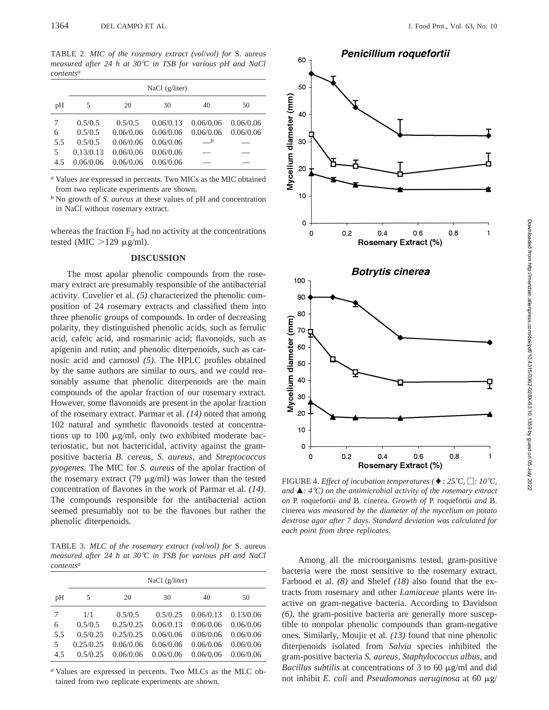TABLE 2. *MIC of the rosemary extract (vol*/*vol) for* S. aureus *measured after 24 h at 30*8*C in TSB for various pH and NaCl contentsa*

|     | NaCl $(g/liter)$ |           |           |                |           |  |
|-----|------------------|-----------|-----------|----------------|-----------|--|
| pH  | 5                | 20        | 30        | 40             | 50        |  |
| 7   | 0.5/0.5          | 0.5/0.5   | 0.06/0.13 | 0.06/0.06      | 0.06/0.06 |  |
| 6   | 0.5/0.5          | 0.06/0.06 | 0.06/0.06 | 0.06/0.06      | 0.06/0.06 |  |
| 5.5 | 0.5/0.5          | 0.06/0.06 | 0.06/0.06 | $\overline{b}$ |           |  |
| 5   | 0.13/0.13        | 0.06/0.06 | 0.06/0.06 |                |           |  |
| 4.5 | 0.06/0.06        | 0.06/0.06 | 0.06/0.06 |                |           |  |

*<sup>a</sup>* Values are expressed in percents. Two MICs as the MIC obtained from two replicate experiments are shown.

*<sup>b</sup>* No growth of *S. aureus* at these values of pH and concentration in NaCl without rosemary extract.

whereas the fraction  $F_2$  had no activity at the concentrations tested (MIC  $>129$  µg/ml).

### **DISCUSSION**

The most apolar phenolic compounds from the rosemary extract are presumably responsible of the antibacterial activity. Cuvelier et al. *(5)* characterized the phenolic composition of 24 rosemary extracts and classified them into three phenolic groups of compounds. In order of decreasing polarity, they distinguished phenolic acids, such as ferrulic acid, cafeic acid, and rosmarinic acid; flavonoids, such as apigenin and rutin; and phenolic diterpenoids, such as carnosic acid and carnosol *(5)*. The HPLC profiles obtained by the same authors are similar to ours, and we could reasonably assume that phenolic diterpenoids are the main compounds of the apolar fraction of our rosemary extract. However, some flavonoids are present in the apolar fraction of the rosemary extract. Parmar et al. *(14)* noted that among 102 natural and synthetic flavonoids tested at concentrations up to 100  $\mu$ g/ml, only two exhibited moderate bacteriostatic, but not bactericidal, activity against the grampositive bacteria *B. cereus, S. aureus,* and *Streptococcus pyogenes.* The MIC for *S. aureus* of the apolar fraction of the rosemary extract (79  $\mu$ g/ml) was lower than the tested concentration of flavones in the work of Parmar et al. *(14)*. The compounds responsible for the antibacterial action seemed presumably not to be the flavones but rather the phenolic diterpenoids.

TABLE 3. *MLC of the rosemary extract (vol*/*vol) for* S. aureus *measured after 24 h at 30*8*C in TSB for various pH and NaCl contentsa*

|     | NaCl $(g/liter)$ |           |           |           |           |  |  |
|-----|------------------|-----------|-----------|-----------|-----------|--|--|
| pH  | 5                | 20        | 30        | 40        | 50        |  |  |
| 7   | 1/1              | 0.5/0.5   | 0.5/0.25  | 0.06/0.13 | 0.13/0.06 |  |  |
| 6   | 0.5/0.5          | 0.25/0.25 | 0.06/0.13 | 0.06/0.06 | 0.06/0.06 |  |  |
| 5.5 | 0.5/0.25         | 0.25/0.25 | 0.06/0.06 | 0.06/0.06 | 0.06/0.06 |  |  |
| 5   | 0.25/0.25        | 0.06/0.06 | 0.06/0.06 | 0.06/0.06 | 0.06/0.06 |  |  |
| 4.5 | 0.5/0.25         | 0.06/0.06 | 0.06/0.06 | 0.06/0.06 | 0.06/0.06 |  |  |

*<sup>a</sup>* Values are expressed in percents. Two MLCs as the MLC obtained from two replicate experiments are shown.



FIGURE 4. *Effect of incubation temperatures* ( $\blacklozenge$  : 25<sup>°</sup>C,  $\Box$ : 10<sup>°</sup>C, *and* m*: 4*8*C) on the antimicrobial activity of the rosemary extract on* P. roquefortii *and* B. cinerea. *Growth of* P. roquefortii *and* B. cinerea *was measured by the diameter of the mycelium on potato dextrose agar after 7 days. Standard deviation was calculated for each point from three replicates.*

Among all the microorganisms tested, gram-positive bacteria were the most sensitive to the rosemary extract. Farbood et al. *(8)* and Shelef *(18)* also found that the extracts from rosemary and other *Lamiaceae* plants were inactive on gram-negative bacteria. According to Davidson *(6)*, the gram-positive bacteria are generally more susceptible to nonpolar phenolic compounds than gram-negative ones. Similarly, Moujir et al. *(13)* found that nine phenolic diterpenoids isolated from *Salvia* species inhibited the gram-positive bacteria *S. aureus, Staphylococcus albus,* and *Bacillus subtilis* at concentrations of 3 to 60  $\mu$ g/ml and did not inhibit *E. coli* and *Pseudomonas aeruginosa* at 60 mg/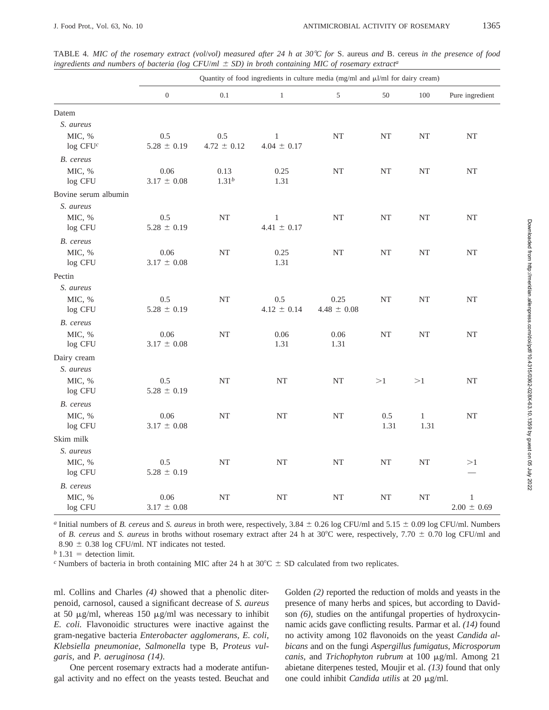|                                | Quantity of food ingredients in culture media (mg/ml and µl/ml for dairy cream) |                        |                                 |                         |             |                      |                                 |
|--------------------------------|---------------------------------------------------------------------------------|------------------------|---------------------------------|-------------------------|-------------|----------------------|---------------------------------|
|                                | $\boldsymbol{0}$                                                                | 0.1                    | $\mathbf{1}$                    | 5                       | 50          | 100                  | Pure ingredient                 |
| Datem                          |                                                                                 |                        |                                 |                         |             |                      |                                 |
| S. aureus                      |                                                                                 |                        |                                 |                         |             |                      |                                 |
| MIC, %<br>log CFU <sup>c</sup> | 0.5<br>$5.28 \pm 0.19$                                                          | 0.5<br>$4.72 \pm 0.12$ | $\mathbf{1}$<br>$4.04 \pm 0.17$ | NT                      | NT          | NT                   | NT                              |
| B. cereus                      |                                                                                 |                        |                                 |                         |             |                      |                                 |
| MIC, %<br>log CFU              | 0.06<br>$3.17 \pm 0.08$                                                         | 0.13<br>$1.31^{b}$     | 0.25<br>1.31                    | $\rm{NT}$               | NT          | NT                   | NT                              |
| Bovine serum albumin           |                                                                                 |                        |                                 |                         |             |                      |                                 |
| S. aureus                      |                                                                                 |                        |                                 |                         |             |                      |                                 |
| MIC, %<br>log CFU              | 0.5<br>$5.28 \pm 0.19$                                                          | NT                     | $\mathbf{1}$<br>$4.41 \pm 0.17$ | NT                      | NT          | NT                   | NT                              |
| B. cereus                      |                                                                                 |                        |                                 |                         |             |                      |                                 |
| MIC, %<br>log CFU              | 0.06<br>$3.17 \pm 0.08$                                                         | <b>NT</b>              | 0.25<br>1.31                    | $\rm{NT}$               | NT          | NT                   | $\rm{NT}$                       |
| Pectin                         |                                                                                 |                        |                                 |                         |             |                      |                                 |
| S. aureus                      |                                                                                 |                        |                                 |                         |             |                      |                                 |
| MIC, %<br>log CFU              | 0.5<br>$5.28 \pm 0.19$                                                          | NT                     | 0.5<br>$4.12 \pm 0.14$          | 0.25<br>$4.48 \pm 0.08$ | NT          | NT                   | NT                              |
| B. cereus                      |                                                                                 |                        |                                 |                         |             |                      |                                 |
| MIC, %<br>log CFU              | 0.06<br>$3.17 \pm 0.08$                                                         | <b>NT</b>              | 0.06<br>1.31                    | 0.06<br>1.31            | NT          | NT                   | NT                              |
| Dairy cream                    |                                                                                 |                        |                                 |                         |             |                      |                                 |
| S. aureus                      |                                                                                 |                        |                                 |                         |             |                      |                                 |
| MIC, %<br>log CFU              | 0.5<br>$5.28 \pm 0.19$                                                          | NT                     | $\rm{NT}$                       | $\rm{NT}$               | >1          | >1                   | NT                              |
| B. cereus                      |                                                                                 |                        |                                 |                         |             |                      |                                 |
| MIC, %<br>log CFU              | 0.06<br>$3.17 \pm 0.08$                                                         | <b>NT</b>              | $\rm{NT}$                       | $\rm{NT}$               | 0.5<br>1.31 | $\mathbf{1}$<br>1.31 | $\rm{NT}$                       |
| Skim milk<br>S. aureus         |                                                                                 |                        |                                 |                         |             |                      |                                 |
| MIC, %<br>log CFU              | 0.5<br>$5.28 \pm 0.19$                                                          | <b>NT</b>              | $\rm{NT}$                       | $\rm{NT}$               | $\rm{NT}$   | NT                   | >1                              |
| B. cereus                      |                                                                                 |                        |                                 |                         |             |                      |                                 |
| MIC, %<br>log CFU              | 0.06<br>$3.17 \pm 0.08$                                                         | NT                     | $\rm{NT}$                       | $\rm{NT}$               | NT          | NT                   | $\mathbf{1}$<br>$2.00 \pm 0.69$ |

TABLE 4. *MIC of the rosemary extract (vol/vol) measured after 24 h at 30°C for* S. aureus *and* B. cereus *in the presence of food ingredients and numbers of bacteria (log CFU/* $ml \pm SD$ *) in broth containing MIC of rosemary extract<sup>a</sup>* 

*a* Initial numbers of *B. cereus* and *S. aureus* in broth were, respectively, 3.84  $\pm$  0.26 log CFU/ml and 5.15  $\pm$  0.09 log CFU/ml. Numbers of *B. cereus* and *S. aureus* in broths without rosemary extract after 24 h at 30°C were, respectively, 7.70  $\pm$  0.70 log CFU/ml and  $8.90 \pm 0.38$  log CFU/ml. NT indicates not tested.

 $b$  1.31 = detection limit.

<sup>*c*</sup> Numbers of bacteria in broth containing MIC after 24 h at 30 $^{\circ}$ C  $\pm$  SD calculated from two replicates.

ml. Collins and Charles *(4)* showed that a phenolic diterpenoid, carnosol, caused a significant decrease of *S. aureus* at 50  $\mu$ g/ml, whereas 150  $\mu$ g/ml was necessary to inhibit *E. coli.* Flavonoidic structures were inactive against the gram-negative bacteria *Enterobacter agglomerans, E. coli, Klebsiella pneumoniae, Salmonella* type B, *Proteus vulgaris,* and *P. aeruginosa (14)*.

One percent rosemary extracts had a moderate antifungal activity and no effect on the yeasts tested. Beuchat and Golden *(2)* reported the reduction of molds and yeasts in the presence of many herbs and spices, but according to Davidson *(6)*, studies on the antifungal properties of hydroxycinnamic acids gave conflicting results. Parmar et al. *(14)* found no activity among 102 flavonoids on the yeast *Candida albicans* and on the fungi *Aspergillus fumigatus, Microsporum canis,* and *Trichophyton rubrum* at 100 mg/ml. Among 21 abietane diterpenes tested, Moujir et al. *(13)* found that only one could inhibit *Candida utilis* at 20 mg/ml.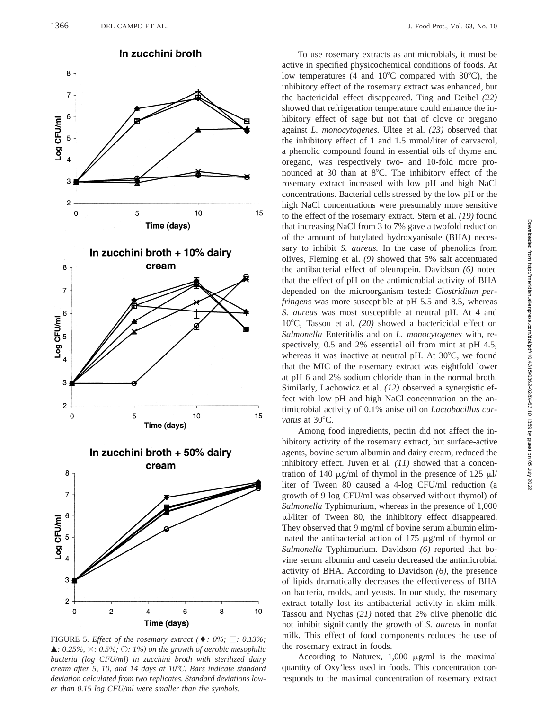

FIGURE 5. *Effect of the rosemary extract* ( $\blacklozenge$ : 0%;  $\Box$ : 0.13%;  $\blacktriangle$ *: 0.25%,*  $\times$  *: 0.5%;*  $\bigcirc$ *: 1%) on the growth of aerobic mesophilic bacteria (log CFU/ml) in zucchini broth with sterilized dairy cream after 5, 10, and 14 days at 10*8*C. Bars indicate standard deviation calculated from two replicates. Standard deviations lower than 0.15 log CFU/ml were smaller than the symbols.*

Time (days)

6

8

10

 $\overline{\mathbf{4}}$ 

6

 $\overline{A}$ 

 $3<sub>1</sub>$ 

 $\overline{c}$  $\mathbf 0$ 

 $\overline{c}$ 

Log CFU/ml 5

In zucchini broth

To use rosemary extracts as antimicrobials, it must be active in specified physicochemical conditions of foods. At low temperatures (4 and  $10^{\circ}$ C compared with  $30^{\circ}$ C), the inhibitory effect of the rosemary extract was enhanced, but the bactericidal effect disappeared. Ting and Deibel *(22)* showed that refrigeration temperature could enhance the inhibitory effect of sage but not that of clove or oregano against *L. monocytogenes.* Ultee et al. *(23)* observed that the inhibitory effect of 1 and 1.5 mmol/liter of carvacrol, a phenolic compound found in essential oils of thyme and oregano, was respectively two- and 10-fold more pronounced at 30 than at  $8^{\circ}$ C. The inhibitory effect of the rosemary extract increased with low pH and high NaCl concentrations. Bacterial cells stressed by the low pH or the high NaCl concentrations were presumably more sensitive to the effect of the rosemary extract. Stern et al. *(19)* found that increasing NaCl from 3 to 7% gave a twofold reduction of the amount of butylated hydroxyanisole (BHA) necessary to inhibit *S. aureus.* In the case of phenolics from olives, Fleming et al. *(9)* showed that 5% salt accentuated the antibacterial effect of oleuropein. Davidson *(6)* noted that the effect of pH on the antimicrobial activity of BHA depended on the microorganism tested: *Clostridium perfringens* was more susceptible at pH 5.5 and 8.5, whereas *S. aureus* was most susceptible at neutral pH. At 4 and 10°C, Tassou et al. (20) showed a bactericidal effect on *Salmonella* Enteritidis and on *L. monocytogenes* with, respectively, 0.5 and 2% essential oil from mint at pH 4.5, whereas it was inactive at neutral pH. At  $30^{\circ}$ C, we found that the MIC of the rosemary extract was eightfold lower at pH 6 and 2% sodium chloride than in the normal broth. Similarly, Lachowicz et al. *(12)* observed a synergistic effect with low pH and high NaCl concentration on the antimicrobial activity of 0.1% anise oil on *Lactobacillus cur*vatus at 30°C.

Among food ingredients, pectin did not affect the inhibitory activity of the rosemary extract, but surface-active agents, bovine serum albumin and dairy cream, reduced the inhibitory effect. Juven et al. *(11)* showed that a concentration of 140  $\mu$ g/ml of thymol in the presence of 125  $\mu$ l/ liter of Tween 80 caused a 4-log CFU/ml reduction (a growth of 9 log CFU/ml was observed without thymol) of *Salmonella* Typhimurium, whereas in the presence of 1,000  $\mu$ l/liter of Tween 80, the inhibitory effect disappeared. They observed that 9 mg/ml of bovine serum albumin eliminated the antibacterial action of 175  $\mu$ g/ml of thymol on *Salmonella* Typhimurium. Davidson *(6)* reported that bovine serum albumin and casein decreased the antimicrobial activity of BHA. According to Davidson *(6)*, the presence of lipids dramatically decreases the effectiveness of BHA on bacteria, molds, and yeasts. In our study, the rosemary extract totally lost its antibacterial activity in skim milk. Tassou and Nychas *(21)* noted that 2% olive phenolic did not inhibit significantly the growth of *S. aureus* in nonfat milk. This effect of food components reduces the use of the rosemary extract in foods.

According to Naturex,  $1,000 \mu g/ml$  is the maximal quantity of Oxy'less used in foods. This concentration corresponds to the maximal concentration of rosemary extract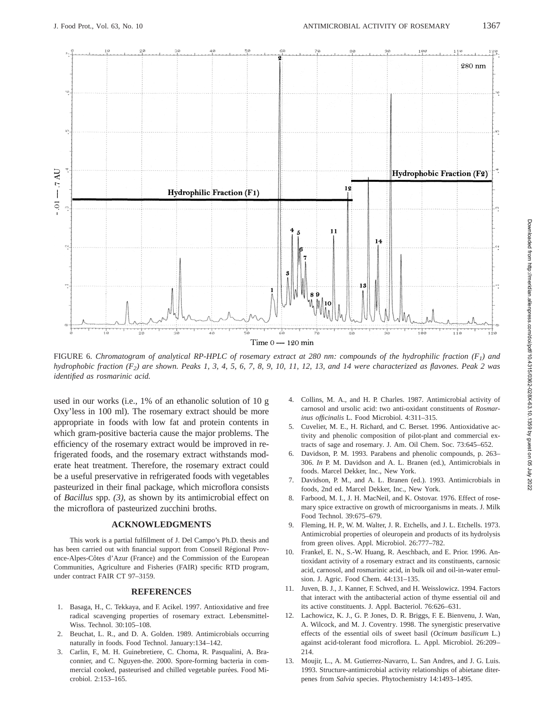

FIGURE 6. *Chromatogram of analytical RP-HPLC of rosemary extract at 280 nm: compounds of the hydrophilic fraction (F1) and hydrophobic fraction (F2) are shown. Peaks 1, 3, 4, 5, 6, 7, 8, 9, 10, 11, 12, 13, and 14 were characterized as flavones. Peak 2 was identified as rosmarinic acid.*

used in our works (i.e., 1% of an ethanolic solution of 10 g Oxy'less in 100 ml). The rosemary extract should be more appropriate in foods with low fat and protein contents in which gram-positive bacteria cause the major problems. The efficiency of the rosemary extract would be improved in refrigerated foods, and the rosemary extract withstands moderate heat treatment. Therefore, the rosemary extract could be a useful preservative in refrigerated foods with vegetables pasteurized in their final package, which microflora consists of *Bacillus* spp. *(3)*, as shown by its antimicrobial effect on the microflora of pasteurized zucchini broths.

# **ACKNOWLEDGMENTS**

This work is a partial fulfillment of J. Del Campo's Ph.D. thesis and has been carried out with financial support from Conseil Régional Provence-Alpes-Côtes d'Azur (France) and the Commission of the European Communities, Agriculture and Fisheries (FAIR) specific RTD program, under contract FAIR CT 97–3159.

# **REFERENCES**

- 1. Basaga, H., C. Tekkaya, and F. Acikel. 1997. Antioxidative and free radical scavenging properties of rosemary extract. Lebensmittel-Wiss. Technol. 30:105–108.
- 2. Beuchat, L. R., and D. A. Golden. 1989. Antimicrobials occurring naturally in foods. Food Technol. January:134–142.
- 3. Carlin, F., M. H. Guinebretiere, C. Choma, R. Pasqualini, A. Braconnier, and C. Nguyen-the. 2000. Spore-forming bacteria in commercial cooked, pasteurised and chilled vegetable purées. Food Microbiol. 2:153–165.
- 4. Collins, M. A., and H. P. Charles. 1987. Antimicrobial activity of carnosol and ursolic acid: two anti-oxidant constituents of *Rosmarinus officinalis* L. Food Microbiol. 4:311–315.
- 5. Cuvelier, M. E., H. Richard, and C. Berset. 1996. Antioxidative activity and phenolic composition of pilot-plant and commercial extracts of sage and rosemary. J. Am. Oil Chem. Soc. 73:645–652.
- 6. Davidson, P. M. 1993. Parabens and phenolic compounds, p. 263– 306. *In* P. M. Davidson and A. L. Branen (ed.), Antimicrobials in foods. Marcel Dekker, Inc., New York.
- 7. Davidson, P. M., and A. L. Branen (ed.). 1993. Antimicrobials in foods, 2nd ed. Marcel Dekker, Inc., New York.
- 8. Farbood, M. I., J. H. MacNeil, and K. Ostovar. 1976. Effect of rosemary spice extractive on growth of microorganisms in meats. J. Milk Food Technol. 39:675–679.
- Fleming, H. P., W. M. Walter, J. R. Etchells, and J. L. Etchells. 1973. Antimicrobial properties of oleuropein and products of its hydrolysis from green olives. Appl. Microbiol. 26:777–782.
- 10. Frankel, E. N., S.-W. Huang, R. Aeschbach, and E. Prior. 1996. Antioxidant activity of a rosemary extract and its constituents, carnosic acid, carnosol, and rosmarinic acid, in bulk oil and oil-in-water emulsion. J. Agric. Food Chem. 44:131–135.
- 11. Juven, B. J., J. Kanner, F. Schved, and H. Weisslowicz. 1994. Factors that interact with the antibacterial action of thyme essential oil and its active constituents. J. Appl. Bacteriol. 76:626–631.
- 12. Lachowicz, K. J., G. P. Jones, D. R. Briggs, F. E. Bienvenu, J. Wan, A. Wilcock, and M. J. Coventry. 1998. The synergistic preservative effects of the essential oils of sweet basil (*Ocimum basilicum* L.) against acid-tolerant food microflora. L. Appl. Microbiol. 26:209– 214.
- 13. Moujir, L., A. M. Gutierrez-Navarro, L. San Andres, and J. G. Luis. 1993. Structure-antimicrobial activity relationships of abietane diterpenes from *Salvia* species. Phytochemistry 14:1493–1495.